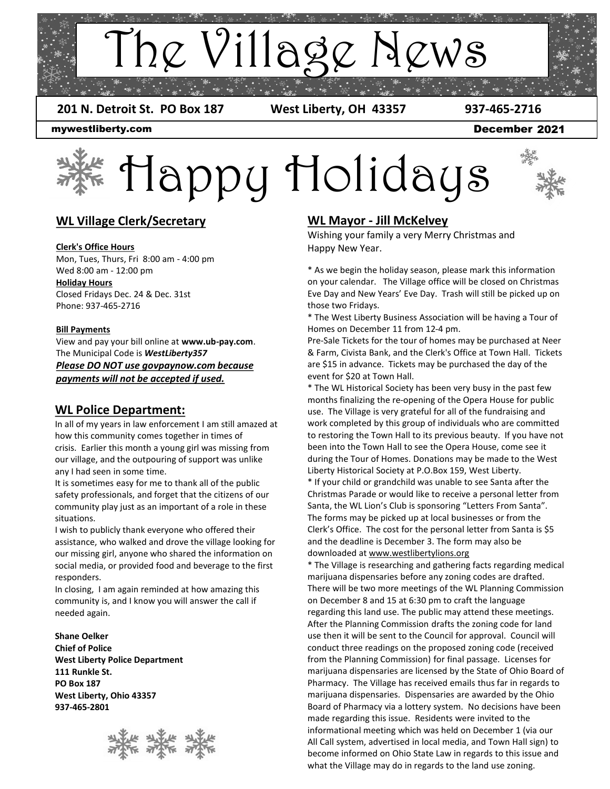

 **201 N. Detroit St. PO Box 187 West Liberty, OH 43357 937-465-2716**

December 2021

mywestliberty.com

# Happy Holidays



# **WL Village Clerk/Secretary**

#### **Clerk's Office Hours**

Mon, Tues, Thurs, Fri 8:00 am - 4:00 pm Wed 8:00 am - 12:00 pm **Holiday Hours** Closed Fridays Dec. 24 & Dec. 31st Phone: 937-465-2716

#### **Bill Payments**

View and pay your bill online at **www.ub-pay.com**. The Municipal Code is *WestLiberty357 Please DO NOT use govpaynow.com because payments will not be accepted if used.*

### **WL Police Department:**

In all of my years in law enforcement I am still amazed at how this community comes together in times of crisis. Earlier this month a young girl was missing from our village, and the outpouring of support was unlike any I had seen in some time.

It is sometimes easy for me to thank all of the public safety professionals, and forget that the citizens of our community play just as an important of a role in these situations.

I wish to publicly thank everyone who offered their assistance, who walked and drove the village looking for our missing girl, anyone who shared the information on social media, or provided food and beverage to the first responders.

In closing, I am again reminded at how amazing this community is, and I know you will answer the call if needed again.

**Shane Oelker Chief of Police West Liberty Police Department 111 Runkle St. PO Box 187 West Liberty, Ohio 43357 937-465-2801**



# **WL Mayor - Jill McKelvey**

Wishing your family a very Merry Christmas and Happy New Year.

\* As we begin the holiday season, please mark this information on your calendar. The Village office will be closed on Christmas Eve Day and New Years' Eve Day. Trash will still be picked up on those two Fridays.

\* The West Liberty Business Association will be having a Tour of Homes on December 11 from 12-4 pm.

Pre-Sale Tickets for the tour of homes may be purchased at Neer & Farm, Civista Bank, and the Clerk's Office at Town Hall. Tickets are \$15 in advance. Tickets may be purchased the day of the event for \$20 at Town Hall.

\* The WL Historical Society has been very busy in the past few months finalizing the re-opening of the Opera House for public use. The Village is very grateful for all of the fundraising and work completed by this group of individuals who are committed to restoring the Town Hall to its previous beauty. If you have not been into the Town Hall to see the Opera House, come see it during the Tour of Homes. Donations may be made to the West Liberty Historical Society at P.O.Box 159, West Liberty. \* If your child or grandchild was unable to see Santa after the Christmas Parade or would like to receive a personal letter from Santa, the WL Lion's Club is sponsoring "Letters From Santa". The forms may be picked up at local businesses or from the Clerk's Office. The cost for the personal letter from Santa is \$5 and the deadline is December 3. The form may also be downloaded at www.westlibertylions.org

\* The Village is researching and gathering facts regarding medical marijuana dispensaries before any zoning codes are drafted. There will be two more meetings of the WL Planning Commission on December 8 and 15 at 6:30 pm to craft the language regarding this land use. The public may attend these meetings. After the Planning Commission drafts the zoning code for land use then it will be sent to the Council for approval. Council will conduct three readings on the proposed zoning code (received from the Planning Commission) for final passage. Licenses for marijuana dispensaries are licensed by the State of Ohio Board of Pharmacy. The Village has received emails thus far in regards to marijuana dispensaries. Dispensaries are awarded by the Ohio Board of Pharmacy via a lottery system. No decisions have been made regarding this issue. Residents were invited to the informational meeting which was held on December 1 (via our All Call system, advertised in local media, and Town Hall sign) to become informed on Ohio State Law in regards to this issue and what the Village may do in regards to the land use zoning.